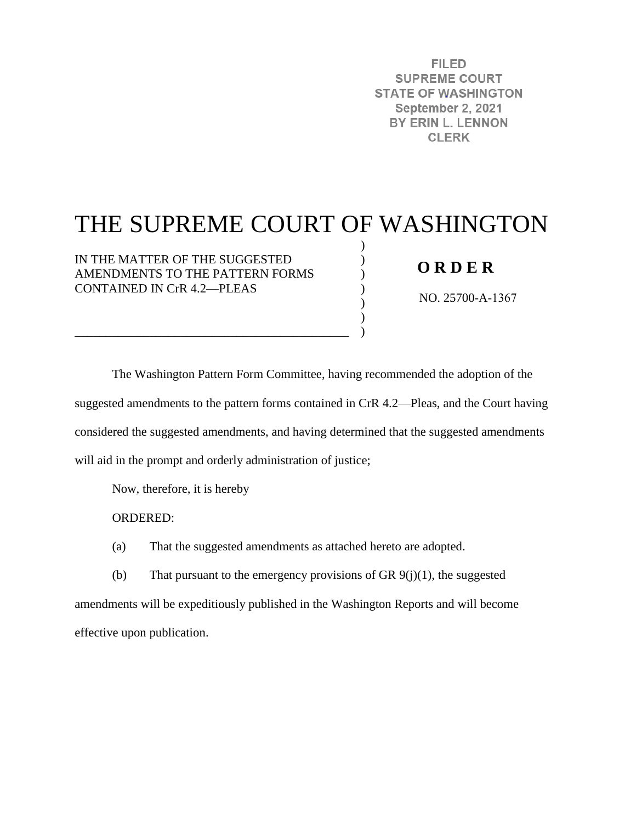**FILED SUPREME COURT STATE OF WASHINGTON** September 2, 2021 BY ERIN L. LENNON **CLERK** 

# THE SUPREME COURT OF WASHINGTON

) ) ) ) ) ) )

IN THE MATTER OF THE SUGGESTED AMENDMENTS TO THE PATTERN FORMS CONTAINED IN CrR 4.2—PLEAS

\_\_\_\_\_\_\_\_\_\_\_\_\_\_\_\_\_\_\_\_\_\_\_\_\_\_\_\_\_\_\_\_\_\_\_\_\_\_\_\_\_\_\_\_

## **O R D E R**

NO. 25700-A-1367

The Washington Pattern Form Committee, having recommended the adoption of the suggested amendments to the pattern forms contained in CrR 4.2—Pleas, and the Court having considered the suggested amendments, and having determined that the suggested amendments will aid in the prompt and orderly administration of justice;

Now, therefore, it is hereby

ORDERED:

(a) That the suggested amendments as attached hereto are adopted.

(b) That pursuant to the emergency provisions of GR  $9(j)(1)$ , the suggested amendments will be expeditiously published in the Washington Reports and will become effective upon publication.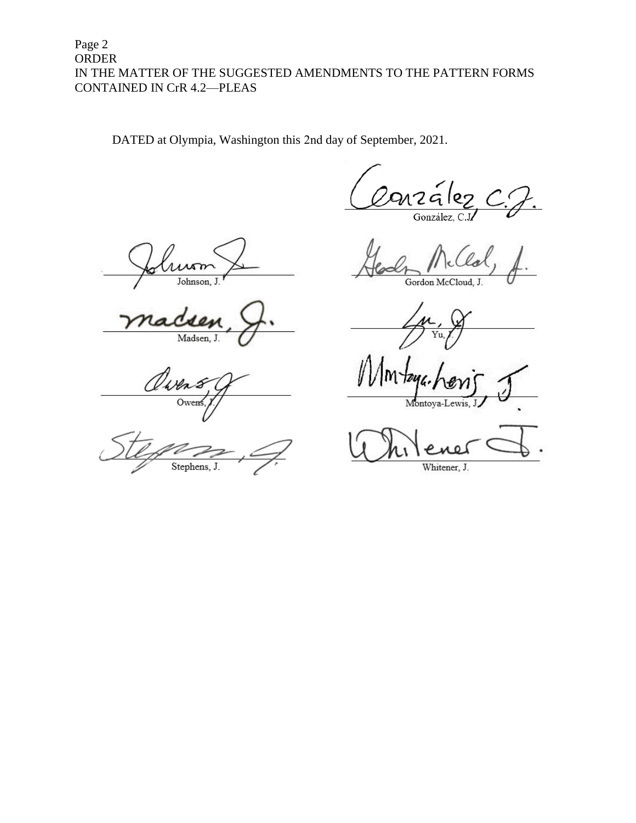## Page 2 ORDER IN THE MATTER OF THE SUGGESTED AMENDMENTS TO THE PATTERN FORMS CONTAINED IN CrR 4.2—PLEAS

DATED at Olympia, Washington this 2nd day of September, 2021.

7 G González,

Johnson,

Madsen, J.

Viven Ower

Stephens, J.

Gordon McCloud, J.

Montova-Lewis,

Whitener, J.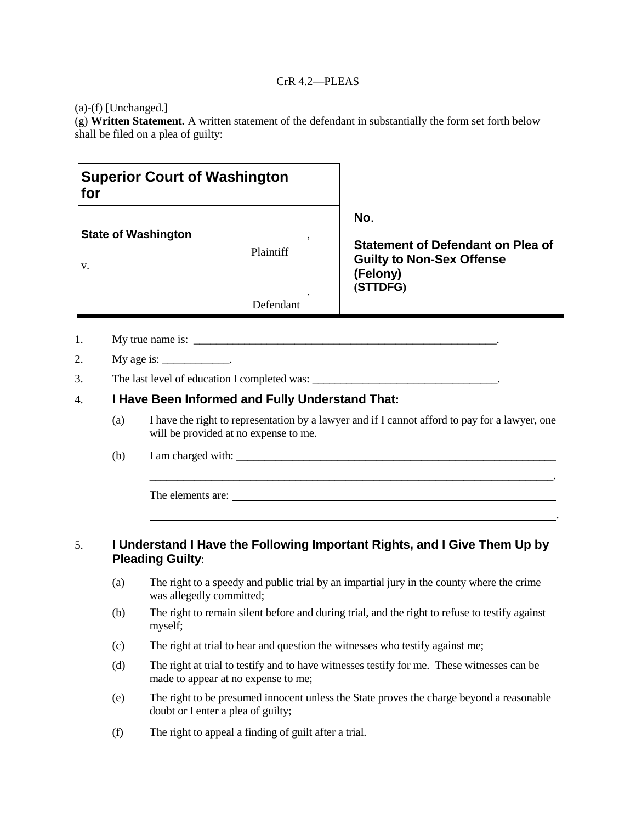#### CrR 4.2—PLEAS

(a)-(f) [Unchanged.]

(g) **Written Statement.** A written statement of the defendant in substantially the form set forth below shall be filed on a plea of guilty:

| for |                                                 | <b>Superior Court of Washington</b>                                                                                                     |                                                                                            |  |  |  |
|-----|-------------------------------------------------|-----------------------------------------------------------------------------------------------------------------------------------------|--------------------------------------------------------------------------------------------|--|--|--|
|     |                                                 |                                                                                                                                         | No.                                                                                        |  |  |  |
|     |                                                 | <b>State of Washington</b>                                                                                                              | <b>Statement of Defendant on Plea of</b>                                                   |  |  |  |
| V.  |                                                 | <b>Plaintiff</b>                                                                                                                        | <b>Guilty to Non-Sex Offense</b><br>(Felony)<br>(STTDFG)                                   |  |  |  |
|     |                                                 | Defendant                                                                                                                               |                                                                                            |  |  |  |
| 1.  |                                                 | My true name is:                                                                                                                        |                                                                                            |  |  |  |
| 2.  |                                                 | My age is: $\_\_\_\_\_\_\_\_\_\_\_\_\_\_\_\.$                                                                                           |                                                                                            |  |  |  |
| 3.  |                                                 |                                                                                                                                         |                                                                                            |  |  |  |
| 4.  | I Have Been Informed and Fully Understand That: |                                                                                                                                         |                                                                                            |  |  |  |
|     | (a)                                             | I have the right to representation by a lawyer and if I cannot afford to pay for a lawyer, one<br>will be provided at no expense to me. |                                                                                            |  |  |  |
|     | (b)                                             |                                                                                                                                         |                                                                                            |  |  |  |
|     |                                                 |                                                                                                                                         | The elements are:                                                                          |  |  |  |
| 5.  |                                                 | <b>Pleading Guilty:</b>                                                                                                                 | I Understand I Have the Following Important Rights, and I Give Them Up by                  |  |  |  |
|     | (a)                                             | The right to a speedy and public trial by an impartial jury in the county where the crime<br>was allegedly committed;                   |                                                                                            |  |  |  |
|     | (b)                                             | The right to remain silent before and during trial, and the right to refuse to testify against<br>myself;                               |                                                                                            |  |  |  |
|     | (c)                                             | The right at trial to hear and question the witnesses who testify against me;                                                           |                                                                                            |  |  |  |
|     | (d)                                             | made to appear at no expense to me;                                                                                                     | The right at trial to testify and to have witnesses testify for me. These witnesses can be |  |  |  |

- (e) The right to be presumed innocent unless the State proves the charge beyond a reasonable doubt or I enter a plea of guilty;
- (f) The right to appeal a finding of guilt after a trial.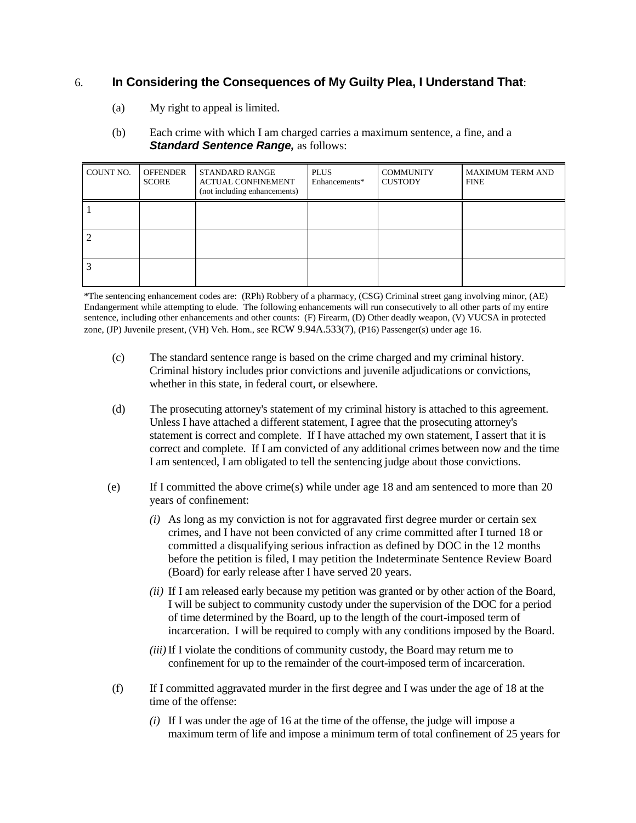## 6. **In Considering the Consequences of My Guilty Plea, I Understand That**:

(a) My right to appeal is limited.

#### (b) Each crime with which I am charged carries a maximum sentence, a fine, and a **Standard Sentence Range, as follows:**

| COUNT NO. | <b>OFFENDER</b><br><b>SCORE</b> | STANDARD RANGE<br><b>ACTUAL CONFINEMENT</b><br>(not including enhancements) | <b>PLUS</b><br>Enhancements* | <b>COMMUNITY</b><br><b>CUSTODY</b> | <b>MAXIMUM TERM AND</b><br><b>FINE</b> |
|-----------|---------------------------------|-----------------------------------------------------------------------------|------------------------------|------------------------------------|----------------------------------------|
|           |                                 |                                                                             |                              |                                    |                                        |
|           |                                 |                                                                             |                              |                                    |                                        |
|           |                                 |                                                                             |                              |                                    |                                        |

\*The sentencing enhancement codes are: (RPh) Robbery of a pharmacy, (CSG) Criminal street gang involving minor, (AE) Endangerment while attempting to elude. The following enhancements will run consecutively to all other parts of my entire sentence, including other enhancements and other counts: (F) Firearm, (D) Other deadly weapon, (V) VUCSA in protected zone, (JP) Juvenile present, (VH) Veh. Hom., see RCW 9.94A.533(7), (P16) Passenger(s) under age 16.

- (c) The standard sentence range is based on the crime charged and my criminal history. Criminal history includes prior convictions and juvenile adjudications or convictions, whether in this state, in federal court, or elsewhere.
- (d) The prosecuting attorney's statement of my criminal history is attached to this agreement. Unless I have attached a different statement, I agree that the prosecuting attorney's statement is correct and complete. If I have attached my own statement, I assert that it is correct and complete. If I am convicted of any additional crimes between now and the time I am sentenced, I am obligated to tell the sentencing judge about those convictions.
- (e) If I committed the above crime(s) while under age 18 and am sentenced to more than 20 years of confinement:
	- *(i)* As long as my conviction is not for aggravated first degree murder or certain sex crimes, and I have not been convicted of any crime committed after I turned 18 or committed a disqualifying serious infraction as defined by DOC in the 12 months before the petition is filed, I may petition the Indeterminate Sentence Review Board (Board) for early release after I have served 20 years.
	- *(ii)* If I am released early because my petition was granted or by other action of the Board, I will be subject to community custody under the supervision of the DOC for a period of time determined by the Board, up to the length of the court-imposed term of incarceration. I will be required to comply with any conditions imposed by the Board.
	- *(iii)*If I violate the conditions of community custody, the Board may return me to confinement for up to the remainder of the court-imposed term of incarceration.
- (f) If I committed aggravated murder in the first degree and I was under the age of 18 at the time of the offense:
	- *(i)* If I was under the age of 16 at the time of the offense, the judge will impose a maximum term of life and impose a minimum term of total confinement of 25 years for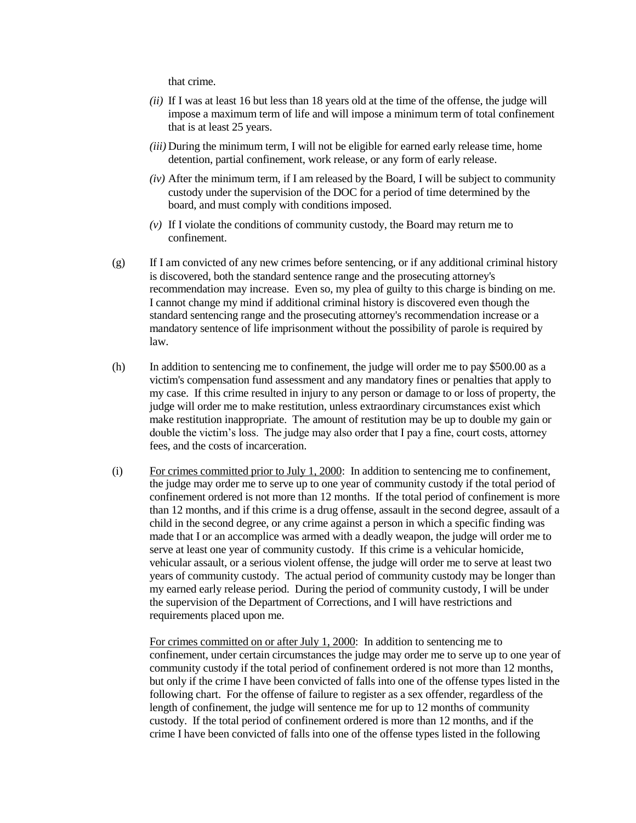that crime.

- *(ii)* If I was at least 16 but less than 18 years old at the time of the offense, the judge will impose a maximum term of life and will impose a minimum term of total confinement that is at least 25 years.
- *(iii)* During the minimum term, I will not be eligible for earned early release time, home detention, partial confinement, work release, or any form of early release.
- *(iv)* After the minimum term, if I am released by the Board, I will be subject to community custody under the supervision of the DOC for a period of time determined by the board, and must comply with conditions imposed.
- *(v)* If I violate the conditions of community custody, the Board may return me to confinement.
- (g) If I am convicted of any new crimes before sentencing, or if any additional criminal history is discovered, both the standard sentence range and the prosecuting attorney's recommendation may increase. Even so, my plea of guilty to this charge is binding on me. I cannot change my mind if additional criminal history is discovered even though the standard sentencing range and the prosecuting attorney's recommendation increase or a mandatory sentence of life imprisonment without the possibility of parole is required by law.
- (h) In addition to sentencing me to confinement, the judge will order me to pay \$500.00 as a victim's compensation fund assessment and any mandatory fines or penalties that apply to my case. If this crime resulted in injury to any person or damage to or loss of property, the judge will order me to make restitution, unless extraordinary circumstances exist which make restitution inappropriate. The amount of restitution may be up to double my gain or double the victim's loss. The judge may also order that I pay a fine, court costs, attorney fees, and the costs of incarceration.
- (i) For crimes committed prior to July 1, 2000: In addition to sentencing me to confinement, the judge may order me to serve up to one year of community custody if the total period of confinement ordered is not more than 12 months. If the total period of confinement is more than 12 months, and if this crime is a drug offense, assault in the second degree, assault of a child in the second degree, or any crime against a person in which a specific finding was made that I or an accomplice was armed with a deadly weapon, the judge will order me to serve at least one year of community custody. If this crime is a vehicular homicide, vehicular assault, or a serious violent offense, the judge will order me to serve at least two years of community custody. The actual period of community custody may be longer than my earned early release period. During the period of community custody, I will be under the supervision of the Department of Corrections, and I will have restrictions and requirements placed upon me.

For crimes committed on or after July 1, 2000: In addition to sentencing me to confinement, under certain circumstances the judge may order me to serve up to one year of community custody if the total period of confinement ordered is not more than 12 months, but only if the crime I have been convicted of falls into one of the offense types listed in the following chart. For the offense of failure to register as a sex offender, regardless of the length of confinement, the judge will sentence me for up to 12 months of community custody. If the total period of confinement ordered is more than 12 months, and if the crime I have been convicted of falls into one of the offense types listed in the following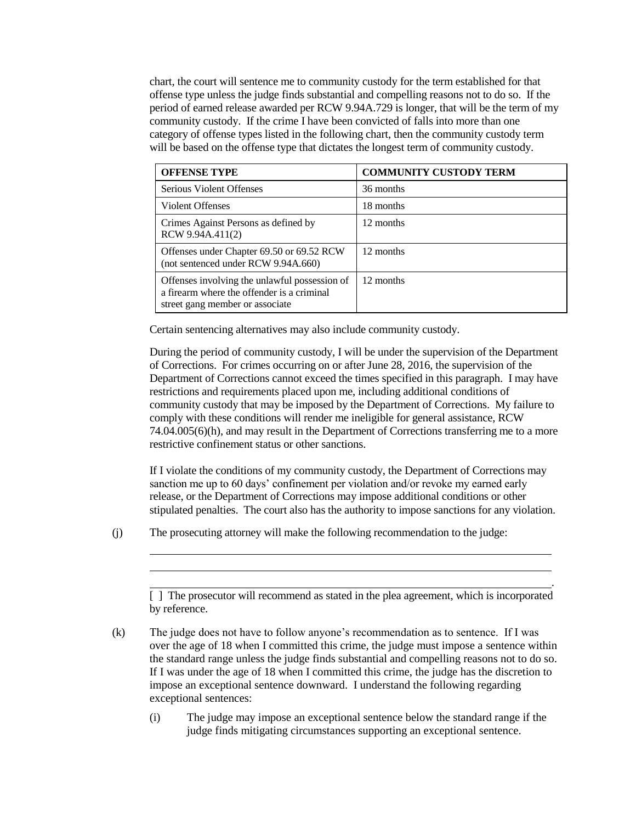chart, the court will sentence me to community custody for the term established for that offense type unless the judge finds substantial and compelling reasons not to do so. If the period of earned release awarded per RCW 9.94A.729 is longer, that will be the term of my community custody. If the crime I have been convicted of falls into more than one category of offense types listed in the following chart, then the community custody term will be based on the offense type that dictates the longest term of community custody.

| <b>OFFENSE TYPE</b>                                                                                                            | <b>COMMUNITY CUSTODY TERM</b> |
|--------------------------------------------------------------------------------------------------------------------------------|-------------------------------|
| Serious Violent Offenses                                                                                                       | 36 months                     |
| Violent Offenses                                                                                                               | 18 months                     |
| Crimes Against Persons as defined by<br>RCW 9.94A.411(2)                                                                       | 12 months                     |
| Offenses under Chapter 69.50 or 69.52 RCW<br>(not sentenced under RCW 9.94A.660)                                               | 12 months                     |
| Offenses involving the unlawful possession of<br>a firearm where the offender is a criminal<br>street gang member or associate | 12 months                     |

Certain sentencing alternatives may also include community custody.

During the period of community custody, I will be under the supervision of the Department of Corrections. For crimes occurring on or after June 28, 2016, the supervision of the Department of Corrections cannot exceed the times specified in this paragraph. I may have restrictions and requirements placed upon me, including additional conditions of community custody that may be imposed by the Department of Corrections. My failure to comply with these conditions will render me ineligible for general assistance, RCW 74.04.005(6)(h), and may result in the Department of Corrections transferring me to a more restrictive confinement status or other sanctions.

If I violate the conditions of my community custody, the Department of Corrections may sanction me up to 60 days' confinement per violation and/or revoke my earned early release, or the Department of Corrections may impose additional conditions or other stipulated penalties. The court also has the authority to impose sanctions for any violation.

(j) The prosecuting attorney will make the following recommendation to the judge:

[ ] The prosecutor will recommend as stated in the plea agreement, which is incorporated by reference.

.

(k) The judge does not have to follow anyone's recommendation as to sentence. If I was over the age of 18 when I committed this crime, the judge must impose a sentence within the standard range unless the judge finds substantial and compelling reasons not to do so. If I was under the age of 18 when I committed this crime, the judge has the discretion to impose an exceptional sentence downward. I understand the following regarding exceptional sentences:

(i) The judge may impose an exceptional sentence below the standard range if the judge finds mitigating circumstances supporting an exceptional sentence.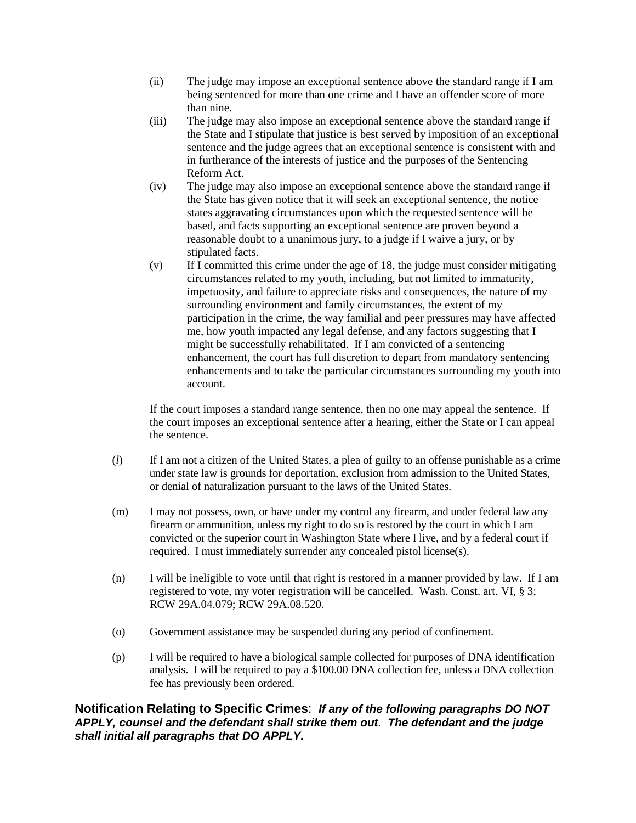- (ii) The judge may impose an exceptional sentence above the standard range if I am being sentenced for more than one crime and I have an offender score of more than nine.
- (iii) The judge may also impose an exceptional sentence above the standard range if the State and I stipulate that justice is best served by imposition of an exceptional sentence and the judge agrees that an exceptional sentence is consistent with and in furtherance of the interests of justice and the purposes of the Sentencing Reform Act.
- (iv) The judge may also impose an exceptional sentence above the standard range if the State has given notice that it will seek an exceptional sentence, the notice states aggravating circumstances upon which the requested sentence will be based, and facts supporting an exceptional sentence are proven beyond a reasonable doubt to a unanimous jury, to a judge if I waive a jury, or by stipulated facts.
- (v) If I committed this crime under the age of 18, the judge must consider mitigating circumstances related to my youth, including, but not limited to immaturity, impetuosity, and failure to appreciate risks and consequences, the nature of my surrounding environment and family circumstances, the extent of my participation in the crime, the way familial and peer pressures may have affected me, how youth impacted any legal defense, and any factors suggesting that I might be successfully rehabilitated. If I am convicted of a sentencing enhancement, the court has full discretion to depart from mandatory sentencing enhancements and to take the particular circumstances surrounding my youth into account.

If the court imposes a standard range sentence, then no one may appeal the sentence. If the court imposes an exceptional sentence after a hearing, either the State or I can appeal the sentence.

- (*l*) If I am not a citizen of the United States, a plea of guilty to an offense punishable as a crime under state law is grounds for deportation, exclusion from admission to the United States, or denial of naturalization pursuant to the laws of the United States.
- (m) I may not possess, own, or have under my control any firearm, and under federal law any firearm or ammunition, unless my right to do so is restored by the court in which I am convicted or the superior court in Washington State where I live, and by a federal court if required. I must immediately surrender any concealed pistol license(s).
- (n) I will be ineligible to vote until that right is restored in a manner provided by law. If I am registered to vote, my voter registration will be cancelled. Wash. Const. art. VI, § 3; RCW 29A.04.079; RCW 29A.08.520.
- (o) Government assistance may be suspended during any period of confinement.
- (p) I will be required to have a biological sample collected for purposes of DNA identification analysis. I will be required to pay a \$100.00 DNA collection fee, unless a DNA collection fee has previously been ordered.

**Notification Relating to Specific Crimes**:*If any of the following paragraphs DO NOT APPLY, counsel and the defendant shall strike them out. The defendant and the judge shall initial all paragraphs that DO APPLY.*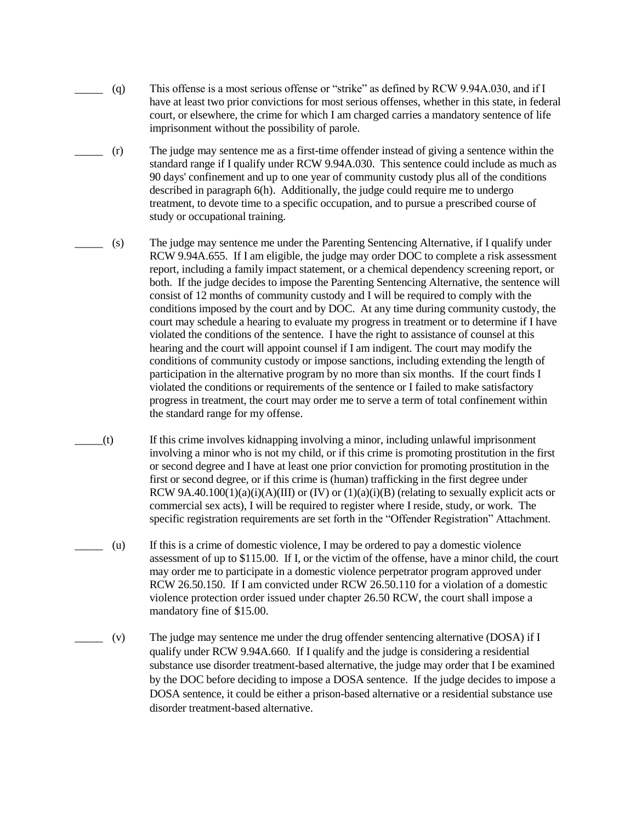- \_\_\_\_\_ (q) This offense is a most serious offense or "strike" as defined by RCW 9.94A.030, and if I have at least two prior convictions for most serious offenses, whether in this state, in federal court, or elsewhere, the crime for which I am charged carries a mandatory sentence of life imprisonment without the possibility of parole.
	- \_\_\_\_\_ (r) The judge may sentence me as a first-time offender instead of giving a sentence within the standard range if I qualify under RCW 9.94A.030. This sentence could include as much as 90 days' confinement and up to one year of community custody plus all of the conditions described in paragraph 6(h). Additionally, the judge could require me to undergo treatment, to devote time to a specific occupation, and to pursue a prescribed course of study or occupational training.
- \_\_\_\_\_ (s) The judge may sentence me under the Parenting Sentencing Alternative, if I qualify under RCW 9.94A.655. If I am eligible, the judge may order DOC to complete a risk assessment report, including a family impact statement, or a chemical dependency screening report, or both. If the judge decides to impose the Parenting Sentencing Alternative, the sentence will consist of 12 months of community custody and I will be required to comply with the conditions imposed by the court and by DOC. At any time during community custody, the court may schedule a hearing to evaluate my progress in treatment or to determine if I have violated the conditions of the sentence. I have the right to assistance of counsel at this hearing and the court will appoint counsel if I am indigent. The court may modify the conditions of community custody or impose sanctions, including extending the length of participation in the alternative program by no more than six months. If the court finds I violated the conditions or requirements of the sentence or I failed to make satisfactory progress in treatment, the court may order me to serve a term of total confinement within the standard range for my offense.
- \_\_\_\_\_(t) If this crime involves kidnapping involving a minor, including unlawful imprisonment involving a minor who is not my child, or if this crime is promoting prostitution in the first or second degree and I have at least one prior conviction for promoting prostitution in the first or second degree, or if this crime is (human) trafficking in the first degree under RCW 9A.40.100(1)(a)(i)(A)(III) or (IV) or (1)(a)(i)(B) (relating to sexually explicit acts or commercial sex acts), I will be required to register where I reside, study, or work. The specific registration requirements are set forth in the "Offender Registration" Attachment.
- $(u)$  If this is a crime of domestic violence, I may be ordered to pay a domestic violence assessment of up to \$115.00. If I, or the victim of the offense, have a minor child, the court may order me to participate in a domestic violence perpetrator program approved under RCW 26.50.150. If I am convicted under RCW 26.50.110 for a violation of a domestic violence protection order issued under chapter 26.50 RCW, the court shall impose a mandatory fine of \$15.00.
- \_\_\_\_\_ (v) The judge may sentence me under the drug offender sentencing alternative (DOSA) if I qualify under RCW 9.94A.660. If I qualify and the judge is considering a residential substance use disorder treatment-based alternative, the judge may order that I be examined by the DOC before deciding to impose a DOSA sentence. If the judge decides to impose a DOSA sentence, it could be either a prison-based alternative or a residential substance use disorder treatment-based alternative.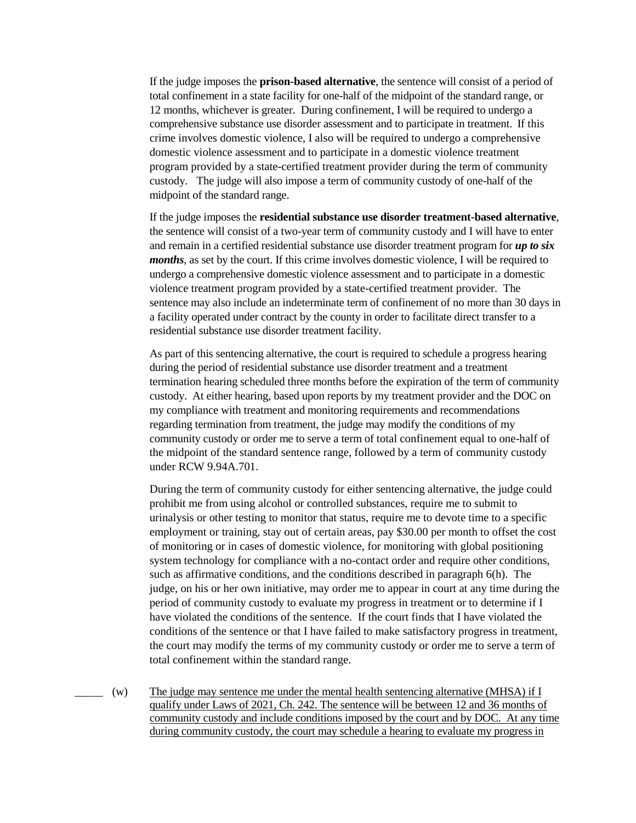If the judge imposes the **prison-based alternative**, the sentence will consist of a period of total confinement in a state facility for one-half of the midpoint of the standard range, or 12 months, whichever is greater. During confinement, I will be required to undergo a comprehensive substance use disorder assessment and to participate in treatment. If this crime involves domestic violence, I also will be required to undergo a comprehensive domestic violence assessment and to participate in a domestic violence treatment program provided by a state-certified treatment provider during the term of community custody. The judge will also impose a term of community custody of one-half of the midpoint of the standard range.

If the judge imposes the **residential substance use disorder treatment-based alternative**, the sentence will consist of a two-year term of community custody and I will have to enter and remain in a certified residential substance use disorder treatment program for *up to six months*, as set by the court. If this crime involves domestic violence, I will be required to undergo a comprehensive domestic violence assessment and to participate in a domestic violence treatment program provided by a state-certified treatment provider. The sentence may also include an indeterminate term of confinement of no more than 30 days in a facility operated under contract by the county in order to facilitate direct transfer to a residential substance use disorder treatment facility.

As part of this sentencing alternative, the court is required to schedule a progress hearing during the period of residential substance use disorder treatment and a treatment termination hearing scheduled three months before the expiration of the term of community custody. At either hearing, based upon reports by my treatment provider and the DOC on my compliance with treatment and monitoring requirements and recommendations regarding termination from treatment, the judge may modify the conditions of my community custody or order me to serve a term of total confinement equal to one-half of the midpoint of the standard sentence range, followed by a term of community custody under RCW 9.94A.701.

During the term of community custody for either sentencing alternative, the judge could prohibit me from using alcohol or controlled substances, require me to submit to urinalysis or other testing to monitor that status, require me to devote time to a specific employment or training, stay out of certain areas, pay \$30.00 per month to offset the cost of monitoring or in cases of domestic violence, for monitoring with global positioning system technology for compliance with a no-contact order and require other conditions, such as affirmative conditions, and the conditions described in paragraph 6(h). The judge, on his or her own initiative, may order me to appear in court at any time during the period of community custody to evaluate my progress in treatment or to determine if I have violated the conditions of the sentence. If the court finds that I have violated the conditions of the sentence or that I have failed to make satisfactory progress in treatment, the court may modify the terms of my community custody or order me to serve a term of total confinement within the standard range.

 $(w)$  The judge may sentence me under the mental health sentencing alternative (MHSA) if I qualify under Laws of 2021, Ch. 242. The sentence will be between 12 and 36 months of community custody and include conditions imposed by the court and by DOC. At any time during community custody, the court may schedule a hearing to evaluate my progress in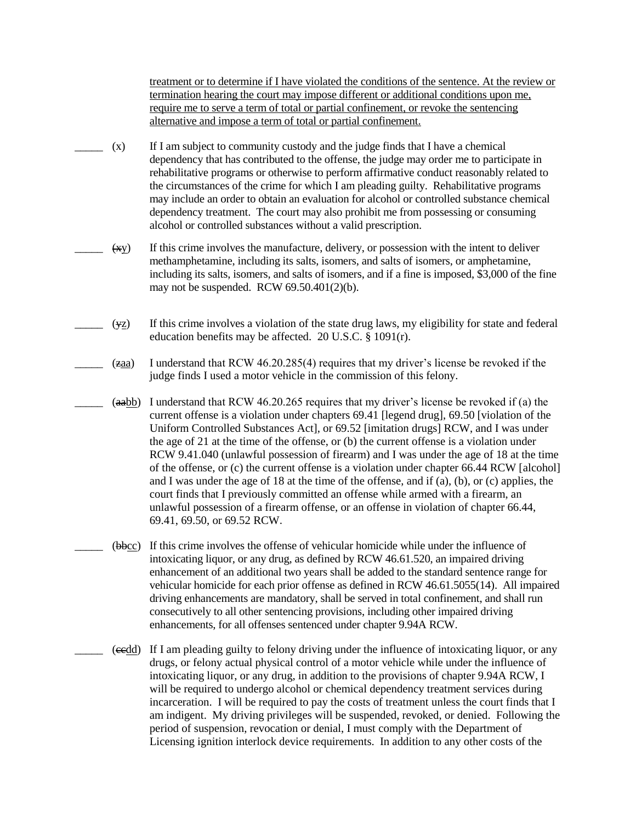treatment or to determine if I have violated the conditions of the sentence. At the review or termination hearing the court may impose different or additional conditions upon me, require me to serve a term of total or partial confinement, or revoke the sentencing alternative and impose a term of total or partial confinement.

- \_\_\_\_\_ (x) If I am subject to community custody and the judge finds that I have a chemical dependency that has contributed to the offense, the judge may order me to participate in rehabilitative programs or otherwise to perform affirmative conduct reasonably related to the circumstances of the crime for which I am pleading guilty. Rehabilitative programs may include an order to obtain an evaluation for alcohol or controlled substance chemical dependency treatment. The court may also prohibit me from possessing or consuming alcohol or controlled substances without a valid prescription.
- $(x_y)$  If this crime involves the manufacture, delivery, or possession with the intent to deliver methamphetamine, including its salts, isomers, and salts of isomers, or amphetamine, including its salts, isomers, and salts of isomers, and if a fine is imposed, \$3,000 of the fine may not be suspended. RCW 69.50.401(2)(b).
- $(y_2)$  If this crime involves a violation of the state drug laws, my eligibility for state and federal education benefits may be affected. 20 U.S.C. § 1091(r).
- \_\_\_\_\_ (zaa) I understand that RCW 46.20.285(4) requires that my driver's license be revoked if the judge finds I used a motor vehicle in the commission of this felony.
- $(aabb)$  I understand that RCW 46.20.265 requires that my driver's license be revoked if (a) the current offense is a violation under chapters 69.41 [legend drug], 69.50 [violation of the Uniform Controlled Substances Act], or 69.52 [imitation drugs] RCW, and I was under the age of 21 at the time of the offense, or (b) the current offense is a violation under RCW 9.41.040 (unlawful possession of firearm) and I was under the age of 18 at the time of the offense, or (c) the current offense is a violation under chapter 66.44 RCW [alcohol] and I was under the age of 18 at the time of the offense, and if (a), (b), or (c) applies, the court finds that I previously committed an offense while armed with a firearm, an unlawful possession of a firearm offense, or an offense in violation of chapter 66.44, 69.41, 69.50, or 69.52 RCW.
	- \_\_\_\_\_ (bbcc) If this crime involves the offense of vehicular homicide while under the influence of intoxicating liquor, or any drug, as defined by RCW 46.61.520, an impaired driving enhancement of an additional two years shall be added to the standard sentence range for vehicular homicide for each prior offense as defined in RCW 46.61.5055(14). All impaired driving enhancements are mandatory, shall be served in total confinement, and shall run consecutively to all other sentencing provisions, including other impaired driving enhancements, for all offenses sentenced under chapter 9.94A RCW.
- \_\_\_\_\_ (ccdd) If I am pleading guilty to felony driving under the influence of intoxicating liquor, or any drugs, or felony actual physical control of a motor vehicle while under the influence of intoxicating liquor, or any drug, in addition to the provisions of chapter 9.94A RCW, I will be required to undergo alcohol or chemical dependency treatment services during incarceration. I will be required to pay the costs of treatment unless the court finds that I am indigent. My driving privileges will be suspended, revoked, or denied. Following the period of suspension, revocation or denial, I must comply with the Department of Licensing ignition interlock device requirements. In addition to any other costs of the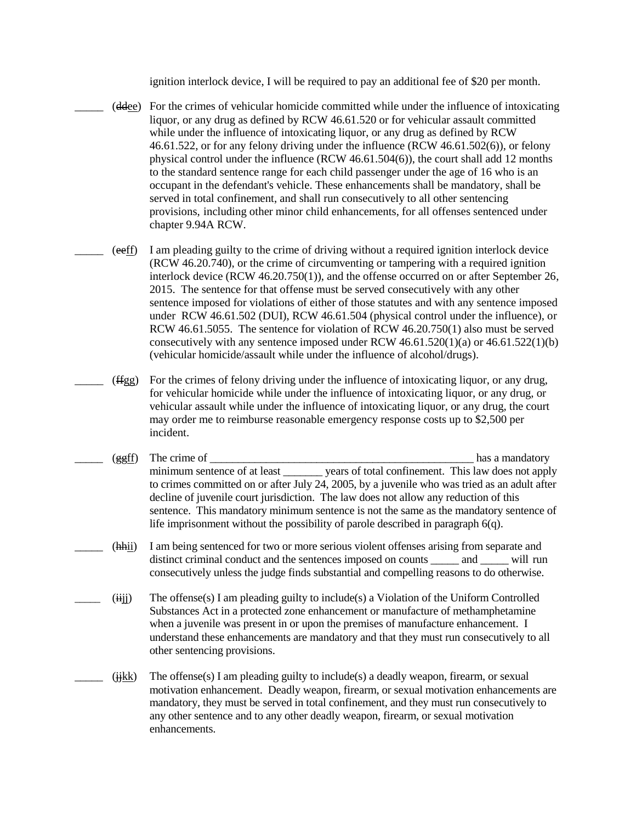ignition interlock device, I will be required to pay an additional fee of \$20 per month.

- \_\_\_\_\_ (ddee) For the crimes of vehicular homicide committed while under the influence of intoxicating liquor, or any drug as defined by RCW 46.61.520 or for vehicular assault committed while under the influence of intoxicating liquor, or any drug as defined by RCW 46.61.522, or for any felony driving under the influence (RCW 46.61.502(6)), or felony physical control under the influence (RCW 46.61.504(6)), the court shall add 12 months to the standard sentence range for each child passenger under the age of 16 who is an occupant in the defendant's vehicle. These enhancements shall be mandatory, shall be served in total confinement, and shall run consecutively to all other sentencing provisions, including other minor child enhancements, for all offenses sentenced under chapter 9.94A RCW.
- \_\_\_\_\_ (eeff) I am pleading guilty to the crime of driving without a required ignition interlock device (RCW 46.20.740), or the crime of circumventing or tampering with a required ignition interlock device (RCW 46.20.750(1)), and the offense occurred on or after September 26, 2015. The sentence for that offense must be served consecutively with any other sentence imposed for violations of either of those statutes and with any sentence imposed under RCW 46.61.502 (DUI), RCW 46.61.504 (physical control under the influence), or RCW 46.61.5055. The sentence for violation of RCW 46.20.750(1) also must be served consecutively with any sentence imposed under RCW  $46.61.520(1)(a)$  or  $46.61.522(1)(b)$ (vehicular homicide/assault while under the influence of alcohol/drugs).
- \_\_\_\_\_ (ffgg) For the crimes of felony driving under the influence of intoxicating liquor, or any drug, for vehicular homicide while under the influence of intoxicating liquor, or any drug, or vehicular assault while under the influence of intoxicating liquor, or any drug, the court may order me to reimburse reasonable emergency response costs up to \$2,500 per incident.
- \_\_\_\_\_ (ggff) The crime of \_\_\_\_\_\_\_\_\_\_\_\_\_\_\_\_\_\_\_\_\_\_\_\_\_\_\_\_\_\_\_\_\_\_\_\_\_\_\_\_\_\_\_\_\_\_\_ has a mandatory minimum sentence of at least vears of total confinement. This law does not apply to crimes committed on or after July 24, 2005, by a juvenile who was tried as an adult after decline of juvenile court jurisdiction. The law does not allow any reduction of this sentence. This mandatory minimum sentence is not the same as the mandatory sentence of life imprisonment without the possibility of parole described in paragraph 6(q).
- \_\_\_\_\_ (hhii) I am being sentenced for two or more serious violent offenses arising from separate and distinct criminal conduct and the sentences imposed on counts \_\_\_\_\_ and \_\_\_\_\_ will run consecutively unless the judge finds substantial and compelling reasons to do otherwise.
- $(iii)$  The offense(s) I am pleading guilty to include(s) a Violation of the Uniform Controlled Substances Act in a protected zone enhancement or manufacture of methamphetamine when a juvenile was present in or upon the premises of manufacture enhancement. I understand these enhancements are mandatory and that they must run consecutively to all other sentencing provisions.
- $(iikk)$  The offense(s) I am pleading guilty to include(s) a deadly weapon, firearm, or sexual motivation enhancement. Deadly weapon, firearm, or sexual motivation enhancements are mandatory, they must be served in total confinement, and they must run consecutively to any other sentence and to any other deadly weapon, firearm, or sexual motivation enhancements.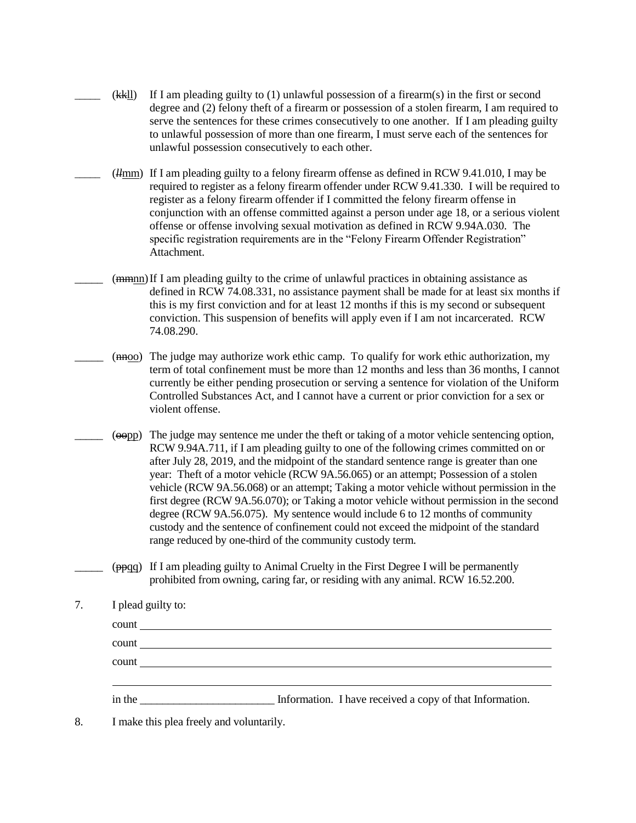- \_\_\_\_\_ (kkll) If I am pleading guilty to (1) unlawful possession of a firearm(s) in the first or second degree and (2) felony theft of a firearm or possession of a stolen firearm, I am required to serve the sentences for these crimes consecutively to one another. If I am pleading guilty to unlawful possession of more than one firearm, I must serve each of the sentences for unlawful possession consecutively to each other.
- \_\_\_\_\_ (*ll*mm) If I am pleading guilty to a felony firearm offense as defined in RCW 9.41.010, I may be required to register as a felony firearm offender under RCW 9.41.330. I will be required to register as a felony firearm offender if I committed the felony firearm offense in conjunction with an offense committed against a person under age 18, or a serious violent offense or offense involving sexual motivation as defined in RCW 9.94A.030. The specific registration requirements are in the "Felony Firearm Offender Registration" Attachment.
	- $(\frac{m}{m}$  If I am pleading guilty to the crime of unlawful practices in obtaining assistance as defined in RCW 74.08.331, no assistance payment shall be made for at least six months if this is my first conviction and for at least 12 months if this is my second or subsequent conviction. This suspension of benefits will apply even if I am not incarcerated. RCW 74.08.290.
- $(m_{\rm H}$  The judge may authorize work ethic camp. To qualify for work ethic authorization, my term of total confinement must be more than 12 months and less than 36 months, I cannot currently be either pending prosecution or serving a sentence for violation of the Uniform Controlled Substances Act, and I cannot have a current or prior conviction for a sex or violent offense.
- \_\_\_\_\_ (oopp) The judge may sentence me under the theft or taking of a motor vehicle sentencing option, RCW 9.94A.711, if I am pleading guilty to one of the following crimes committed on or after July 28, 2019, and the midpoint of the standard sentence range is greater than one year: Theft of a motor vehicle (RCW 9A.56.065) or an attempt; Possession of a stolen vehicle (RCW 9A.56.068) or an attempt; Taking a motor vehicle without permission in the first degree (RCW 9A.56.070); or Taking a motor vehicle without permission in the second degree (RCW 9A.56.075). My sentence would include 6 to 12 months of community custody and the sentence of confinement could not exceed the midpoint of the standard range reduced by one-third of the community custody term.
- \_\_\_\_\_ (ppqq) If I am pleading guilty to Animal Cruelty in the First Degree I will be permanently prohibited from owning, caring far, or residing with any animal. RCW 16.52.200.

| I plead guilty to:                                                                                                                                                                                                             |                                                          |  |  |
|--------------------------------------------------------------------------------------------------------------------------------------------------------------------------------------------------------------------------------|----------------------------------------------------------|--|--|
|                                                                                                                                                                                                                                |                                                          |  |  |
|                                                                                                                                                                                                                                |                                                          |  |  |
|                                                                                                                                                                                                                                |                                                          |  |  |
|                                                                                                                                                                                                                                |                                                          |  |  |
| in the same state of the state of the state of the state of the state of the state of the state of the state of the state of the state of the state of the state of the state of the state of the state of the state of the st | Information. I have received a copy of that Information. |  |  |

8. I make this plea freely and voluntarily.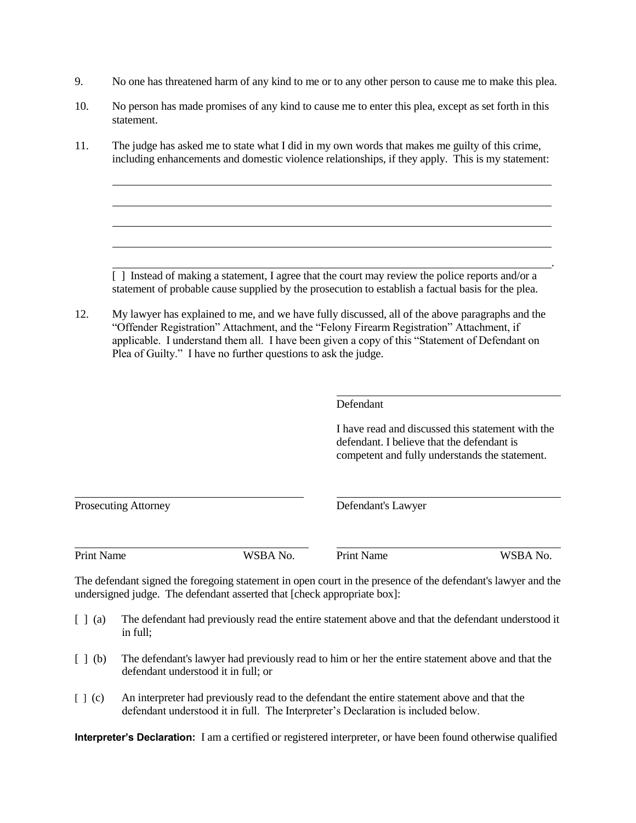- 9. No one has threatened harm of any kind to me or to any other person to cause me to make this plea.
- 10. No person has made promises of any kind to cause me to enter this plea, except as set forth in this statement.
- 11. The judge has asked me to state what I did in my own words that makes me guilty of this crime, including enhancements and domestic violence relationships, if they apply. This is my statement:

[] Instead of making a statement, I agree that the court may review the police reports and/or a statement of probable cause supplied by the prosecution to establish a factual basis for the plea.

12. My lawyer has explained to me, and we have fully discussed, all of the above paragraphs and the "Offender Registration" Attachment, and the "Felony Firearm Registration" Attachment, if applicable. I understand them all. I have been given a copy of this "Statement of Defendant on Plea of Guilty." I have no further questions to ask the judge.

#### Defendant

I have read and discussed this statement with the defendant. I believe that the defendant is competent and fully understands the statement.

.

| <b>Prosecuting Attorney</b>                                                                                  |          | Defendant's Lawyer |          |  |
|--------------------------------------------------------------------------------------------------------------|----------|--------------------|----------|--|
| Print Name                                                                                                   | WSBA No. | <b>Print Name</b>  | WSBA No. |  |
| The defendant signed the foregoing statement in open court in the presence of the defendant's lawyer and the |          |                    |          |  |

undersigned judge. The defendant asserted that [check appropriate box]:

- [ ] (a) The defendant had previously read the entire statement above and that the defendant understood it in full;
- [ ] (b) The defendant's lawyer had previously read to him or her the entire statement above and that the defendant understood it in full; or
- [ ] (c) An interpreter had previously read to the defendant the entire statement above and that the defendant understood it in full. The Interpreter's Declaration is included below.

**Interpreter's Declaration:** I am a certified or registered interpreter, or have been found otherwise qualified